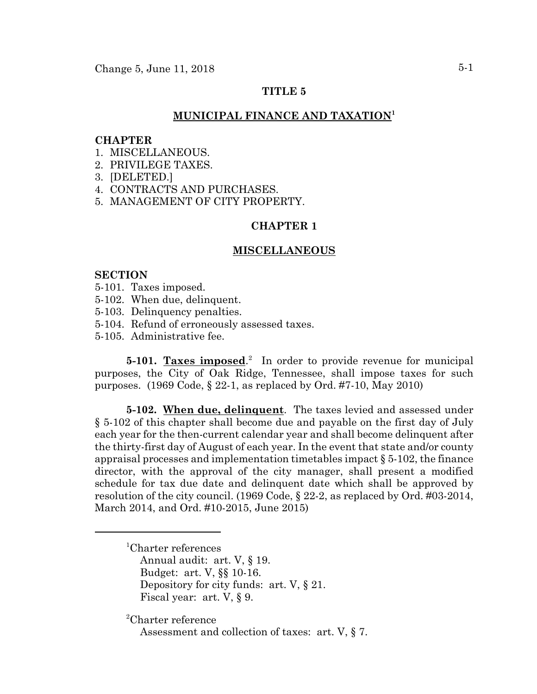# **TITLE 5**

## **MUNICIPAL FINANCE AND TAXATION1**

#### **CHAPTER**

- 1. MISCELLANEOUS.
- 2. PRIVILEGE TAXES.
- 3. [DELETED.]
- 4. CONTRACTS AND PURCHASES.
- 5. MANAGEMENT OF CITY PROPERTY.

## **CHAPTER 1**

### **MISCELLANEOUS**

### **SECTION**

- 5-101. Taxes imposed.
- 5-102. When due, delinquent.
- 5-103. Delinquency penalties.
- 5-104. Refund of erroneously assessed taxes.
- 5-105. Administrative fee.

**5-101.** Taxes imposed.<sup>2</sup> In order to provide revenue for municipal purposes, the City of Oak Ridge, Tennessee, shall impose taxes for such purposes. (1969 Code, § 22-1, as replaced by Ord. #7-10, May 2010)

**5-102. When due, delinquent**. The taxes levied and assessed under § 5-102 of this chapter shall become due and payable on the first day of July each year for the then-current calendar year and shall become delinquent after the thirty-first day of August of each year. In the event that state and/or county appraisal processes and implementation timetables impact  $\S 5-102$ , the finance director, with the approval of the city manager, shall present a modified schedule for tax due date and delinquent date which shall be approved by resolution of the city council. (1969 Code, § 22-2, as replaced by Ord. #03-2014, March 2014, and Ord. #10-2015, June 2015)

- 1 Charter references
	- Annual audit: art. V, § 19. Budget: art. V, §§ 10-16. Depository for city funds: art. V, § 21. Fiscal year: art. V, § 9.

2 Charter reference

Assessment and collection of taxes: art. V, § 7.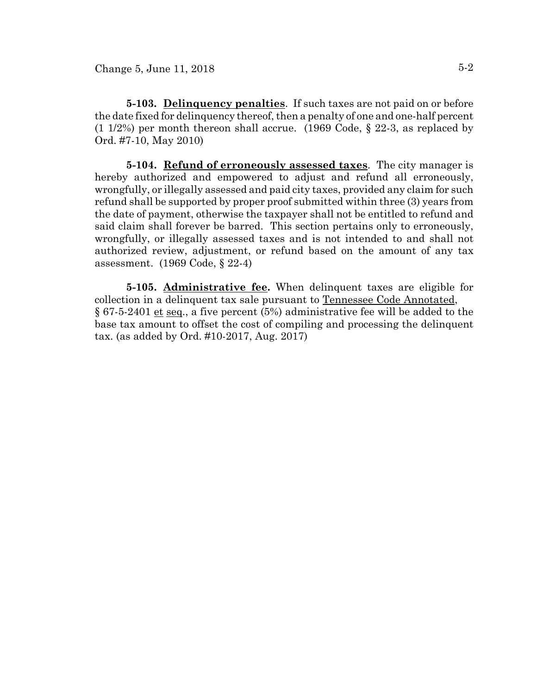**5-103. Delinquency penalties**. If such taxes are not paid on or before the date fixed for delinquency thereof, then a penalty of one and one-half percent  $(1 1/2%)$  per month thereon shall accrue.  $(1969 \text{ Code}, \S 22-3)$ , as replaced by Ord. #7-10, May 2010)

**5-104. Refund of erroneously assessed taxes**. The city manager is hereby authorized and empowered to adjust and refund all erroneously, wrongfully, or illegally assessed and paid city taxes, provided any claim for such refund shall be supported by proper proof submitted within three (3) years from the date of payment, otherwise the taxpayer shall not be entitled to refund and said claim shall forever be barred. This section pertains only to erroneously, wrongfully, or illegally assessed taxes and is not intended to and shall not authorized review, adjustment, or refund based on the amount of any tax assessment. (1969 Code, § 22-4)

**5-105. Administrative fee.** When delinquent taxes are eligible for collection in a delinquent tax sale pursuant to Tennessee Code Annotated, § 67-5-2401 et seq., a five percent (5%) administrative fee will be added to the base tax amount to offset the cost of compiling and processing the delinquent tax. (as added by Ord. #10-2017, Aug. 2017)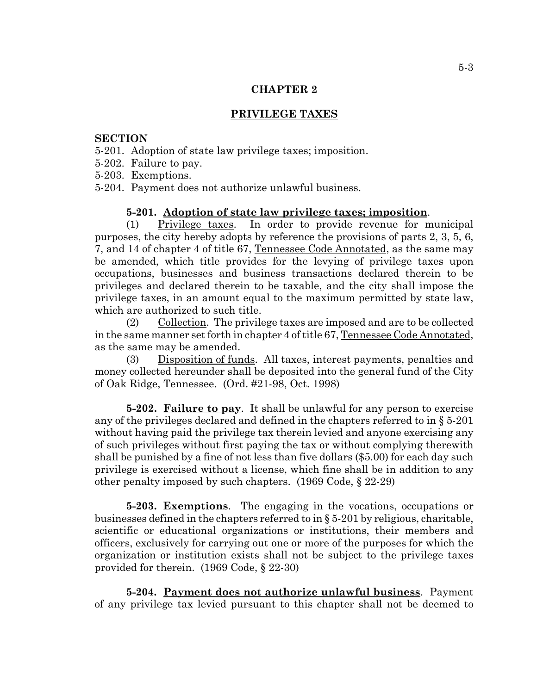## **PRIVILEGE TAXES**

### **SECTION**

- 5-201. Adoption of state law privilege taxes; imposition.
- 5-202. Failure to pay.

5-203. Exemptions.

5-204. Payment does not authorize unlawful business.

### **5-201. Adoption of state law privilege taxes; imposition**.

(1) Privilege taxes. In order to provide revenue for municipal purposes, the city hereby adopts by reference the provisions of parts 2, 3, 5, 6, 7, and 14 of chapter 4 of title 67, Tennessee Code Annotated, as the same may be amended, which title provides for the levying of privilege taxes upon occupations, businesses and business transactions declared therein to be privileges and declared therein to be taxable, and the city shall impose the privilege taxes, in an amount equal to the maximum permitted by state law, which are authorized to such title.

(2) Collection. The privilege taxes are imposed and are to be collected in the same manner set forth in chapter 4 of title 67, Tennessee Code Annotated, as the same may be amended.

(3) Disposition of funds. All taxes, interest payments, penalties and money collected hereunder shall be deposited into the general fund of the City of Oak Ridge, Tennessee. (Ord. #21-98, Oct. 1998)

**5-202. Failure to pay**. It shall be unlawful for any person to exercise any of the privileges declared and defined in the chapters referred to in § 5-201 without having paid the privilege tax therein levied and anyone exercising any of such privileges without first paying the tax or without complying therewith shall be punished by a fine of not less than five dollars (\$5.00) for each day such privilege is exercised without a license, which fine shall be in addition to any other penalty imposed by such chapters. (1969 Code, § 22-29)

**5-203. Exemptions**. The engaging in the vocations, occupations or businesses defined in the chapters referred to in § 5-201 by religious, charitable, scientific or educational organizations or institutions, their members and officers, exclusively for carrying out one or more of the purposes for which the organization or institution exists shall not be subject to the privilege taxes provided for therein. (1969 Code, § 22-30)

**5-204. Payment does not authorize unlawful business**. Payment of any privilege tax levied pursuant to this chapter shall not be deemed to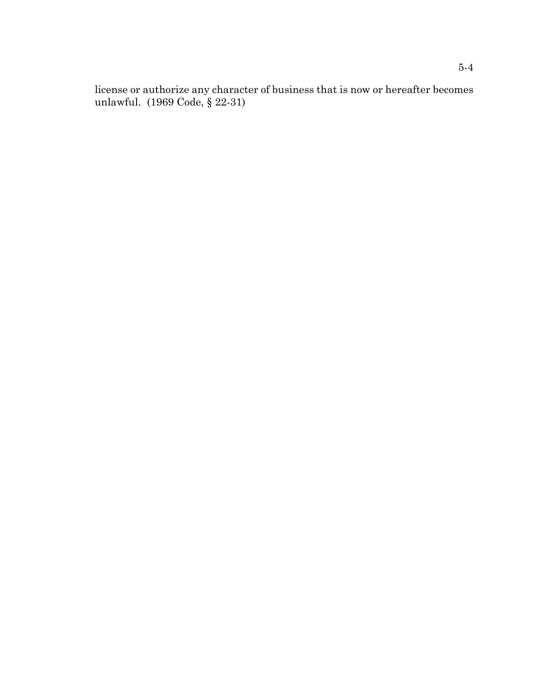license or authorize any character of business that is now or hereafter becomes unlawful. (1969 Code, § 22-31)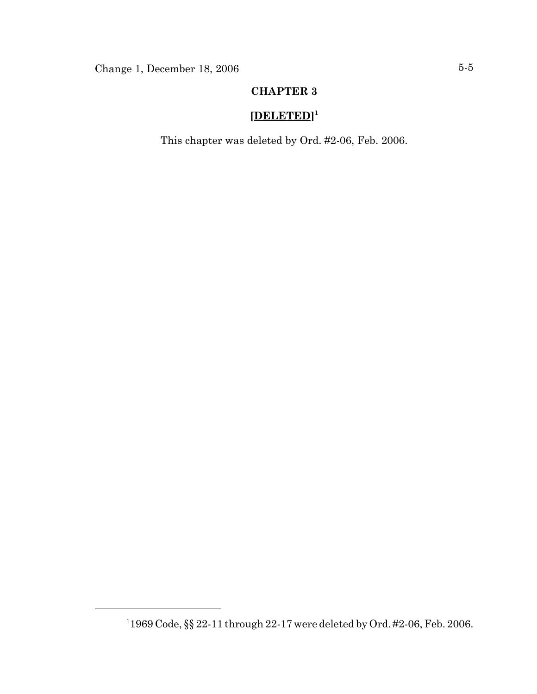# **[DELETED] 1**

This chapter was deleted by Ord. #2-06, Feb. 2006.

<sup>1</sup> 1969 Code, §§ 22-11 through 22-17 were deleted by Ord. #2-06, Feb. 2006.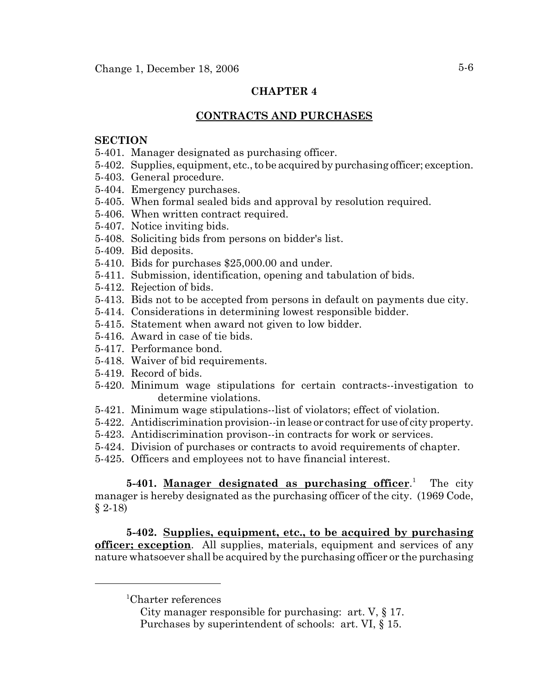# **CONTRACTS AND PURCHASES**

## **SECTION**

- 5-401. Manager designated as purchasing officer.
- 5-402. Supplies, equipment, etc., to be acquired by purchasing officer; exception.
- 5-403. General procedure.
- 5-404. Emergency purchases.
- 5-405. When formal sealed bids and approval by resolution required.
- 5-406. When written contract required.
- 5-407. Notice inviting bids.
- 5-408. Soliciting bids from persons on bidder's list.
- 5-409. Bid deposits.
- 5-410. Bids for purchases \$25,000.00 and under.
- 5-411. Submission, identification, opening and tabulation of bids.
- 5-412. Rejection of bids.
- 5-413. Bids not to be accepted from persons in default on payments due city.
- 5-414. Considerations in determining lowest responsible bidder.
- 5-415. Statement when award not given to low bidder.
- 5-416. Award in case of tie bids.
- 5-417. Performance bond.
- 5-418. Waiver of bid requirements.
- 5-419. Record of bids.
- 5-420. Minimum wage stipulations for certain contracts--investigation to determine violations.
- 5-421. Minimum wage stipulations--list of violators; effect of violation.
- 5-422. Antidiscrimination provision--in lease or contract for use of city property.
- 5-423. Antidiscrimination provison--in contracts for work or services.
- 5-424. Division of purchases or contracts to avoid requirements of chapter.
- 5-425. Officers and employees not to have financial interest.

**5-401. Manager designated as purchasing officer**. 1 The city manager is hereby designated as the purchasing officer of the city. (1969 Code, § 2-18)

**5-402. Supplies, equipment, etc., to be acquired by purchasing officer; exception**. All supplies, materials, equipment and services of any nature whatsoever shall be acquired by the purchasing officer or the purchasing

<sup>1</sup> Charter references

City manager responsible for purchasing: art. V, § 17. Purchases by superintendent of schools: art. VI, § 15.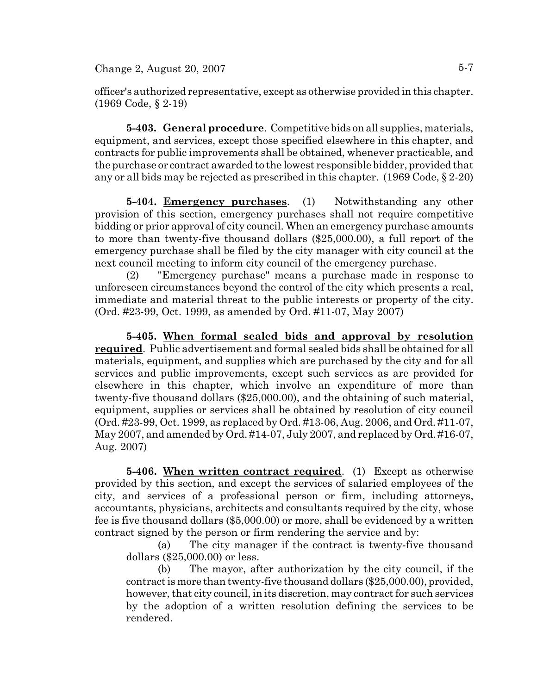officer's authorized representative, except as otherwise provided in this chapter. (1969 Code, § 2-19)

**5-403. General procedure**. Competitive bids on all supplies, materials, equipment, and services, except those specified elsewhere in this chapter, and contracts for public improvements shall be obtained, whenever practicable, and the purchase or contract awarded to the lowest responsible bidder, provided that any or all bids may be rejected as prescribed in this chapter. (1969 Code, § 2-20)

**5-404. Emergency purchases**. (1) Notwithstanding any other provision of this section, emergency purchases shall not require competitive bidding or prior approval of city council. When an emergency purchase amounts to more than twenty-five thousand dollars (\$25,000.00), a full report of the emergency purchase shall be filed by the city manager with city council at the next council meeting to inform city council of the emergency purchase.

(2) "Emergency purchase" means a purchase made in response to unforeseen circumstances beyond the control of the city which presents a real, immediate and material threat to the public interests or property of the city. (Ord. #23-99, Oct. 1999, as amended by Ord. #11-07, May 2007)

**5-405. When formal sealed bids and approval by resolution required**. Public advertisement and formal sealed bids shall be obtained for all materials, equipment, and supplies which are purchased by the city and for all services and public improvements, except such services as are provided for elsewhere in this chapter, which involve an expenditure of more than twenty-five thousand dollars (\$25,000.00), and the obtaining of such material, equipment, supplies or services shall be obtained by resolution of city council (Ord. #23-99, Oct. 1999, as replaced by Ord. #13-06, Aug. 2006, and Ord. #11-07, May 2007, and amended by Ord. #14-07, July 2007, and replaced by Ord. #16-07, Aug. 2007)

**5-406. When written contract required**. (1) Except as otherwise provided by this section, and except the services of salaried employees of the city, and services of a professional person or firm, including attorneys, accountants, physicians, architects and consultants required by the city, whose fee is five thousand dollars (\$5,000.00) or more, shall be evidenced by a written contract signed by the person or firm rendering the service and by:

(a) The city manager if the contract is twenty-five thousand dollars (\$25,000.00) or less.

(b) The mayor, after authorization by the city council, if the contract is more than twenty-five thousand dollars (\$25,000.00), provided, however, that city council, in its discretion, may contract for such services by the adoption of a written resolution defining the services to be rendered.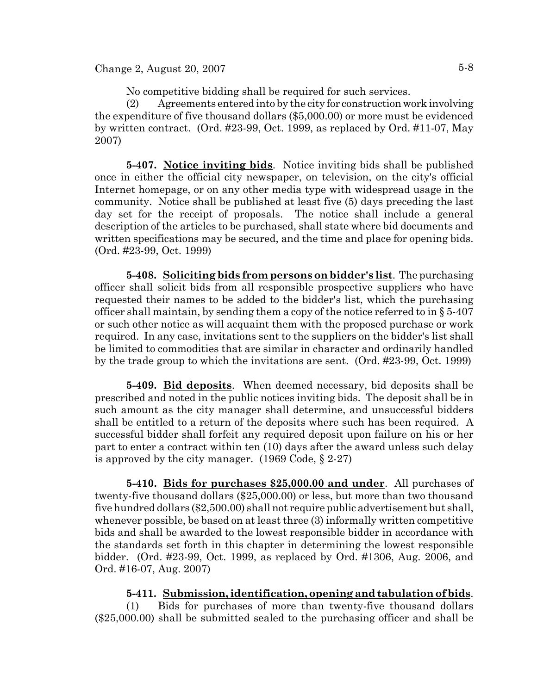No competitive bidding shall be required for such services.

(2) Agreements entered into by the city for construction work involving the expenditure of five thousand dollars (\$5,000.00) or more must be evidenced by written contract. (Ord. #23-99, Oct. 1999, as replaced by Ord. #11-07, May 2007)

**5-407. Notice inviting bids**. Notice inviting bids shall be published once in either the official city newspaper, on television, on the city's official Internet homepage, or on any other media type with widespread usage in the community. Notice shall be published at least five (5) days preceding the last day set for the receipt of proposals. The notice shall include a general description of the articles to be purchased, shall state where bid documents and written specifications may be secured, and the time and place for opening bids. (Ord. #23-99, Oct. 1999)

**5-408. Soliciting bids from persons on bidder's list**. The purchasing officer shall solicit bids from all responsible prospective suppliers who have requested their names to be added to the bidder's list, which the purchasing officer shall maintain, by sending them a copy of the notice referred to in § 5-407 or such other notice as will acquaint them with the proposed purchase or work required. In any case, invitations sent to the suppliers on the bidder's list shall be limited to commodities that are similar in character and ordinarily handled by the trade group to which the invitations are sent. (Ord. #23-99, Oct. 1999)

**5-409. Bid deposits**. When deemed necessary, bid deposits shall be prescribed and noted in the public notices inviting bids. The deposit shall be in such amount as the city manager shall determine, and unsuccessful bidders shall be entitled to a return of the deposits where such has been required. A successful bidder shall forfeit any required deposit upon failure on his or her part to enter a contract within ten (10) days after the award unless such delay is approved by the city manager. (1969 Code, § 2-27)

**5-410. Bids for purchases \$25,000.00 and under**. All purchases of twenty-five thousand dollars (\$25,000.00) or less, but more than two thousand five hundred dollars (\$2,500.00) shall not require public advertisement but shall, whenever possible, be based on at least three (3) informally written competitive bids and shall be awarded to the lowest responsible bidder in accordance with the standards set forth in this chapter in determining the lowest responsible bidder. (Ord. #23-99, Oct. 1999, as replaced by Ord. #1306, Aug. 2006, and Ord. #16-07, Aug. 2007)

## **5-411. Submission, identification, opening and tabulation of bids**.

(1) Bids for purchases of more than twenty-five thousand dollars (\$25,000.00) shall be submitted sealed to the purchasing officer and shall be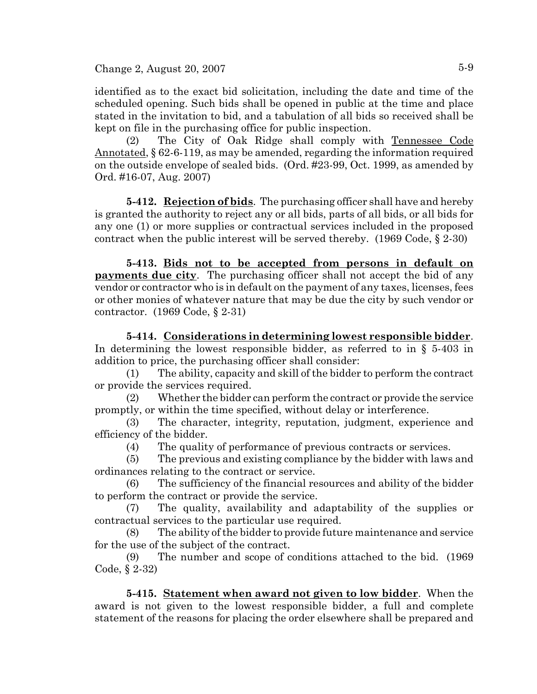$Change 2, August 20, 2007$   $5-9$ 

identified as to the exact bid solicitation, including the date and time of the scheduled opening. Such bids shall be opened in public at the time and place stated in the invitation to bid, and a tabulation of all bids so received shall be kept on file in the purchasing office for public inspection.

(2) The City of Oak Ridge shall comply with Tennessee Code Annotated, § 62-6-119, as may be amended, regarding the information required on the outside envelope of sealed bids. (Ord. #23-99, Oct. 1999, as amended by Ord. #16-07, Aug. 2007)

**5-412. Rejection of bids**. The purchasing officer shall have and hereby is granted the authority to reject any or all bids, parts of all bids, or all bids for any one (1) or more supplies or contractual services included in the proposed contract when the public interest will be served thereby. (1969 Code, § 2-30)

**5-413. Bids not to be accepted from persons in default on payments due city**. The purchasing officer shall not accept the bid of any vendor or contractor who is in default on the payment of any taxes, licenses, fees or other monies of whatever nature that may be due the city by such vendor or contractor. (1969 Code, § 2-31)

**5-414. Considerations in determining lowest responsible bidder**. In determining the lowest responsible bidder, as referred to in § 5-403 in addition to price, the purchasing officer shall consider:

(1) The ability, capacity and skill of the bidder to perform the contract or provide the services required.

(2) Whether the bidder can perform the contract or provide the service promptly, or within the time specified, without delay or interference.

(3) The character, integrity, reputation, judgment, experience and efficiency of the bidder.

(4) The quality of performance of previous contracts or services.

(5) The previous and existing compliance by the bidder with laws and ordinances relating to the contract or service.

(6) The sufficiency of the financial resources and ability of the bidder to perform the contract or provide the service.

(7) The quality, availability and adaptability of the supplies or contractual services to the particular use required.

(8) The ability of the bidder to provide future maintenance and service for the use of the subject of the contract.

(9) The number and scope of conditions attached to the bid. (1969 Code, § 2-32)

**5-415. Statement when award not given to low bidder**. When the award is not given to the lowest responsible bidder, a full and complete statement of the reasons for placing the order elsewhere shall be prepared and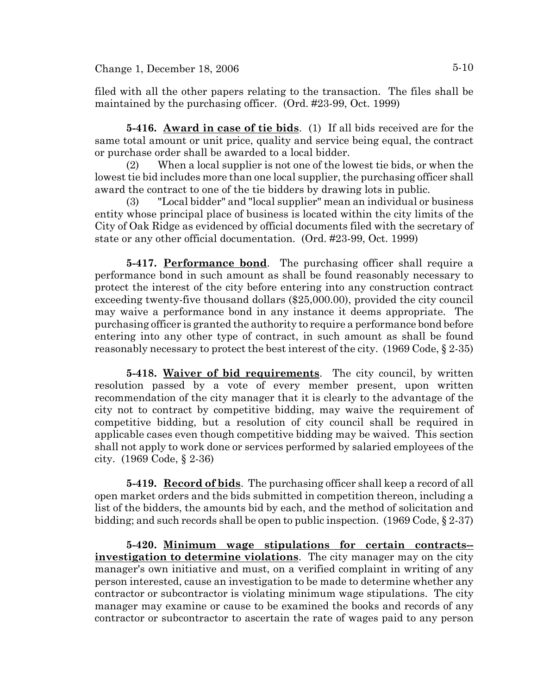$Change 1, December 18, 2006$   $5-10$ 

filed with all the other papers relating to the transaction. The files shall be maintained by the purchasing officer. (Ord. #23-99, Oct. 1999)

**5-416. Award in case of tie bids**. (1) If all bids received are for the same total amount or unit price, quality and service being equal, the contract or purchase order shall be awarded to a local bidder.

(2) When a local supplier is not one of the lowest tie bids, or when the lowest tie bid includes more than one local supplier, the purchasing officer shall award the contract to one of the tie bidders by drawing lots in public.

(3) "Local bidder" and "local supplier" mean an individual or business entity whose principal place of business is located within the city limits of the City of Oak Ridge as evidenced by official documents filed with the secretary of state or any other official documentation. (Ord. #23-99, Oct. 1999)

**5-417. Performance bond**. The purchasing officer shall require a performance bond in such amount as shall be found reasonably necessary to protect the interest of the city before entering into any construction contract exceeding twenty-five thousand dollars (\$25,000.00), provided the city council may waive a performance bond in any instance it deems appropriate. The purchasing officer is granted the authority to require a performance bond before entering into any other type of contract, in such amount as shall be found reasonably necessary to protect the best interest of the city. (1969 Code, § 2-35)

**5-418. Waiver of bid requirements**. The city council, by written resolution passed by a vote of every member present, upon written recommendation of the city manager that it is clearly to the advantage of the city not to contract by competitive bidding, may waive the requirement of competitive bidding, but a resolution of city council shall be required in applicable cases even though competitive bidding may be waived. This section shall not apply to work done or services performed by salaried employees of the city. (1969 Code, § 2-36)

**5-419. Record of bids**. The purchasing officer shall keep a record of all open market orders and the bids submitted in competition thereon, including a list of the bidders, the amounts bid by each, and the method of solicitation and bidding; and such records shall be open to public inspection. (1969 Code, § 2-37)

**5-420. Minimum wage stipulations for certain contracts- investigation to determine violations**. The city manager may on the city manager's own initiative and must, on a verified complaint in writing of any person interested, cause an investigation to be made to determine whether any contractor or subcontractor is violating minimum wage stipulations. The city manager may examine or cause to be examined the books and records of any contractor or subcontractor to ascertain the rate of wages paid to any person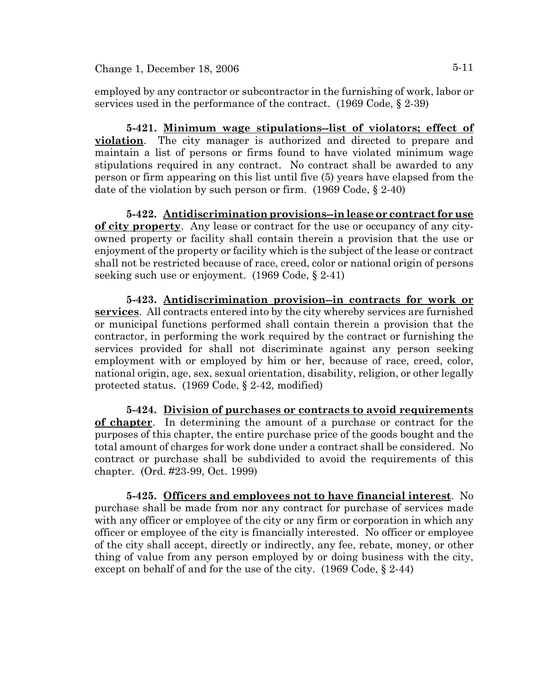employed by any contractor or subcontractor in the furnishing of work, labor or services used in the performance of the contract. (1969 Code, § 2-39)

**5-421. Minimum wage stipulations--list of violators; effect of violation**. The city manager is authorized and directed to prepare and maintain a list of persons or firms found to have violated minimum wage stipulations required in any contract. No contract shall be awarded to any person or firm appearing on this list until five (5) years have elapsed from the date of the violation by such person or firm. (1969 Code, § 2-40)

**5-422. Antidiscrimination provisions--in lease or contract for use of city property**. Any lease or contract for the use or occupancy of any cityowned property or facility shall contain therein a provision that the use or enjoyment of the property or facility which is the subject of the lease or contract shall not be restricted because of race, creed, color or national origin of persons seeking such use or enjoyment. (1969 Code, § 2-41)

**5-423. Antidiscrimination provision--in contracts for work or services**. All contracts entered into by the city whereby services are furnished or municipal functions performed shall contain therein a provision that the contractor, in performing the work required by the contract or furnishing the services provided for shall not discriminate against any person seeking employment with or employed by him or her, because of race, creed, color, national origin, age, sex, sexual orientation, disability, religion, or other legally protected status. (1969 Code, § 2-42, modified)

**5-424. Division of purchases or contracts to avoid requirements of chapter**. In determining the amount of a purchase or contract for the purposes of this chapter, the entire purchase price of the goods bought and the total amount of charges for work done under a contract shall be considered. No contract or purchase shall be subdivided to avoid the requirements of this chapter. (Ord. #23-99, Oct. 1999)

**5-425. Officers and employees not to have financial interest**. No purchase shall be made from nor any contract for purchase of services made with any officer or employee of the city or any firm or corporation in which any officer or employee of the city is financially interested. No officer or employee of the city shall accept, directly or indirectly, any fee, rebate, money, or other thing of value from any person employed by or doing business with the city, except on behalf of and for the use of the city. (1969 Code, § 2-44)